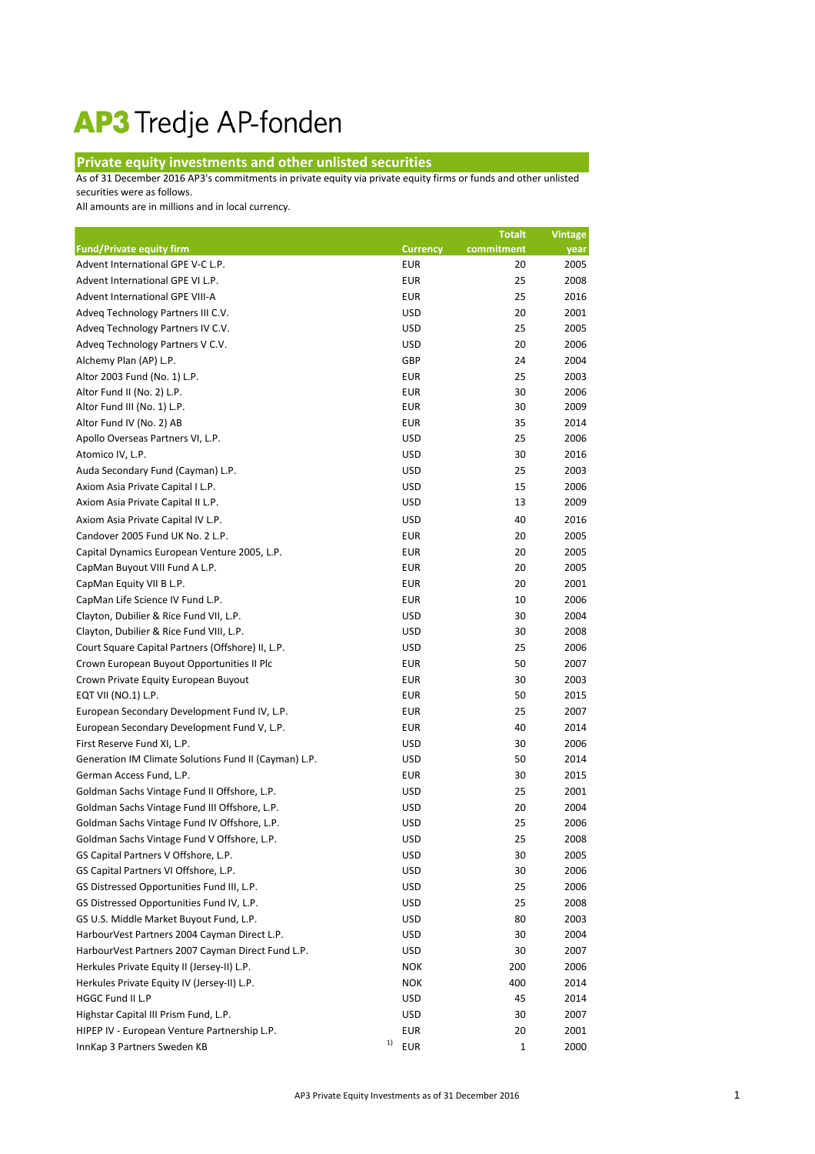## AP3 Tredje AP-fonden

## **Private equity investments and other unlisted securities**

As of 31 December 2016 AP3's commitments in private equity via private equity firms or funds and other unlisted securities were as follows.

All amounts are in millions and in local currency.

|                                                       |                  | <b>Totalt</b> | <b>Vintage</b> |
|-------------------------------------------------------|------------------|---------------|----------------|
| <b>Fund/Private equity firm</b>                       | <b>Currency</b>  | commitment    | year           |
| Advent International GPE V-C L.P.                     | <b>EUR</b>       | 20            | 2005           |
| Advent International GPE VI L.P.                      | <b>EUR</b>       | 25            | 2008           |
| Advent International GPE VIII-A                       | <b>EUR</b>       | 25            | 2016           |
| Adveq Technology Partners III C.V.                    | <b>USD</b>       | 20            | 2001           |
| Adveq Technology Partners IV C.V.                     | <b>USD</b>       | 25            | 2005           |
| Adveq Technology Partners V C.V.                      | <b>USD</b>       | 20            | 2006           |
| Alchemy Plan (AP) L.P.                                | GBP              | 24            | 2004           |
| Altor 2003 Fund (No. 1) L.P.                          | <b>EUR</b>       | 25            | 2003           |
| Altor Fund II (No. 2) L.P.                            | <b>EUR</b>       | 30            | 2006           |
| Altor Fund III (No. 1) L.P.                           | <b>EUR</b>       | 30            | 2009           |
| Altor Fund IV (No. 2) AB                              | <b>EUR</b>       | 35            | 2014           |
| Apollo Overseas Partners VI, L.P.                     | <b>USD</b>       | 25            | 2006           |
| Atomico IV, L.P.                                      | <b>USD</b>       | 30            | 2016           |
| Auda Secondary Fund (Cayman) L.P.                     | <b>USD</b>       | 25            | 2003           |
| Axiom Asia Private Capital I L.P.                     | <b>USD</b>       | 15            | 2006           |
| Axiom Asia Private Capital II L.P.                    | <b>USD</b>       | 13            | 2009           |
| Axiom Asia Private Capital IV L.P.                    | <b>USD</b>       | 40            | 2016           |
| Candover 2005 Fund UK No. 2 L.P.                      | <b>EUR</b>       | 20            | 2005           |
| Capital Dynamics European Venture 2005, L.P.          | <b>EUR</b>       | 20            | 2005           |
| CapMan Buyout VIII Fund A L.P.                        | <b>EUR</b>       | 20            | 2005           |
| CapMan Equity VII B L.P.                              | <b>EUR</b>       | 20            | 2001           |
| CapMan Life Science IV Fund L.P.                      | <b>EUR</b>       | 10            | 2006           |
| Clayton, Dubilier & Rice Fund VII, L.P.               | <b>USD</b>       | 30            | 2004           |
| Clayton, Dubilier & Rice Fund VIII, L.P.              | <b>USD</b>       | 30            | 2008           |
| Court Square Capital Partners (Offshore) II, L.P.     | <b>USD</b>       | 25            | 2006           |
| Crown European Buyout Opportunities II Plc            | <b>EUR</b>       | 50            | 2007           |
| Crown Private Equity European Buyout                  | <b>EUR</b>       | 30            | 2003           |
| EQT VII (NO.1) L.P.                                   | <b>EUR</b>       | 50            | 2015           |
| European Secondary Development Fund IV, L.P.          | <b>EUR</b>       | 25            | 2007           |
| European Secondary Development Fund V, L.P.           | <b>EUR</b>       | 40            | 2014           |
| First Reserve Fund XI, L.P.                           | <b>USD</b>       | 30            | 2006           |
| Generation IM Climate Solutions Fund II (Cayman) L.P. | <b>USD</b>       | 50            | 2014           |
| German Access Fund, L.P.                              | <b>EUR</b>       | 30            | 2015           |
| Goldman Sachs Vintage Fund II Offshore, L.P.          | <b>USD</b>       | 25            | 2001           |
| Goldman Sachs Vintage Fund III Offshore, L.P.         | <b>USD</b>       | 20            | 2004           |
| Goldman Sachs Vintage Fund IV Offshore, L.P.          | <b>USD</b>       | 25            | 2006           |
| Goldman Sachs Vintage Fund V Offshore, L.P.           | <b>USD</b>       | 25            | 2008           |
| GS Capital Partners V Offshore, L.P.                  | <b>USD</b>       | 30            | 2005           |
| GS Capital Partners VI Offshore, L.P.                 | <b>USD</b>       | 30            | 2006           |
| GS Distressed Opportunities Fund III, L.P.            | <b>USD</b>       | 25            | 2006           |
| GS Distressed Opportunities Fund IV, L.P.             | <b>USD</b>       | 25            | 2008           |
| GS U.S. Middle Market Buyout Fund, L.P.               | <b>USD</b>       | 80            | 2003           |
| HarbourVest Partners 2004 Cayman Direct L.P.          | <b>USD</b>       | 30            | 2004           |
| HarbourVest Partners 2007 Cayman Direct Fund L.P.     | <b>USD</b>       | 30            | 2007           |
| Herkules Private Equity II (Jersey-II) L.P.           | <b>NOK</b>       | 200           | 2006           |
| Herkules Private Equity IV (Jersey-II) L.P.           | <b>NOK</b>       | 400           | 2014           |
| HGGC Fund II L.P                                      | <b>USD</b>       | 45            | 2014           |
| Highstar Capital III Prism Fund, L.P.                 | <b>USD</b>       | 30            | 2007           |
| HIPEP IV - European Venture Partnership L.P.          | <b>EUR</b>       | 20            | 2001           |
| InnKap 3 Partners Sweden KB                           | 1)<br><b>EUR</b> | $\mathbf{1}$  | 2000           |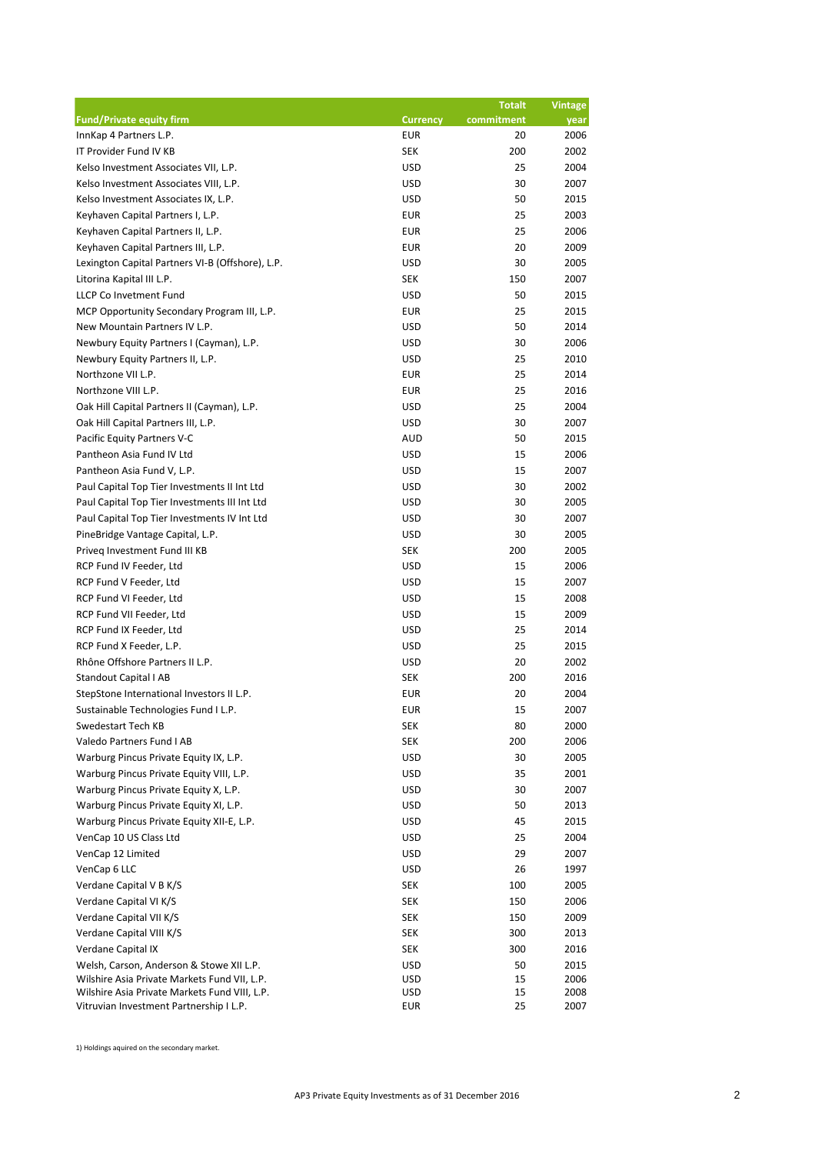|                                                  |                 | <b>Totalt</b> | <b>Vintage</b> |
|--------------------------------------------------|-----------------|---------------|----------------|
| <b>Fund/Private equity firm</b>                  | <b>Currency</b> | commitment    | year           |
| InnKap 4 Partners L.P.                           | <b>EUR</b>      | 20            | 2006           |
| IT Provider Fund IV KB                           | <b>SEK</b>      | 200           | 2002           |
| Kelso Investment Associates VII, L.P.            | <b>USD</b>      | 25            | 2004           |
| Kelso Investment Associates VIII, L.P.           | <b>USD</b>      | 30            | 2007           |
| Kelso Investment Associates IX, L.P.             | <b>USD</b>      | 50            | 2015           |
| Keyhaven Capital Partners I, L.P.                | <b>EUR</b>      | 25            | 2003           |
| Keyhaven Capital Partners II, L.P.               | <b>EUR</b>      | 25            | 2006           |
| Keyhaven Capital Partners III, L.P.              | <b>EUR</b>      | 20            | 2009           |
| Lexington Capital Partners VI-B (Offshore), L.P. | <b>USD</b>      | 30            | 2005           |
| Litorina Kapital III L.P.                        | <b>SEK</b>      | 150           | 2007           |
| LLCP Co Invetment Fund                           | <b>USD</b>      | 50            | 2015           |
| MCP Opportunity Secondary Program III, L.P.      | <b>EUR</b>      | 25            | 2015           |
| New Mountain Partners IV L.P.                    | <b>USD</b>      | 50            | 2014           |
| Newbury Equity Partners I (Cayman), L.P.         | <b>USD</b>      | 30            | 2006           |
| Newbury Equity Partners II, L.P.                 | <b>USD</b>      | 25            | 2010           |
| Northzone VII L.P.                               | <b>EUR</b>      | 25            | 2014           |
| Northzone VIII L.P.                              | <b>EUR</b>      | 25            | 2016           |
| Oak Hill Capital Partners II (Cayman), L.P.      | <b>USD</b>      | 25            | 2004           |
| Oak Hill Capital Partners III, L.P.              | <b>USD</b>      | 30            | 2007           |
| Pacific Equity Partners V-C                      | <b>AUD</b>      | 50            | 2015           |
| Pantheon Asia Fund IV Ltd                        | <b>USD</b>      | 15            | 2006           |
| Pantheon Asia Fund V, L.P.                       | <b>USD</b>      | 15            | 2007           |
| Paul Capital Top Tier Investments II Int Ltd     | <b>USD</b>      | 30            | 2002           |
| Paul Capital Top Tier Investments III Int Ltd    | <b>USD</b>      | 30            | 2005           |
| Paul Capital Top Tier Investments IV Int Ltd     | <b>USD</b>      | 30            | 2007           |
| PineBridge Vantage Capital, L.P.                 | <b>USD</b>      | 30            | 2005           |
| Priveq Investment Fund III KB                    | <b>SEK</b>      | 200           | 2005           |
| RCP Fund IV Feeder, Ltd                          | <b>USD</b>      | 15            | 2006           |
| RCP Fund V Feeder, Ltd                           | <b>USD</b>      | 15            | 2007           |
|                                                  |                 |               |                |
| RCP Fund VI Feeder, Ltd                          | <b>USD</b>      | 15            | 2008           |
| RCP Fund VII Feeder, Ltd                         | <b>USD</b>      | 15            | 2009           |
| RCP Fund IX Feeder, Ltd                          | <b>USD</b>      | 25            | 2014           |
| RCP Fund X Feeder, L.P.                          | <b>USD</b>      | 25            | 2015           |
| Rhône Offshore Partners II L.P.                  | <b>USD</b>      | 20            | 2002           |
| <b>Standout Capital I AB</b>                     | <b>SEK</b>      | 200           | 2016           |
| StepStone International Investors II L.P.        | <b>EUR</b>      | 20            | 2004           |
| Sustainable Technologies Fund I L.P.             | <b>EUR</b>      | 15            | 2007           |
| Swedestart Tech KB                               | <b>SEK</b>      | 80            | 2000           |
| Valedo Partners Fund I AB                        | <b>SEK</b>      | 200           | 2006           |
| Warburg Pincus Private Equity IX, L.P.           | <b>USD</b>      | 30            | 2005           |
| Warburg Pincus Private Equity VIII, L.P.         | <b>USD</b>      | 35            | 2001           |
| Warburg Pincus Private Equity X, L.P.            | <b>USD</b>      | 30            | 2007           |
| Warburg Pincus Private Equity XI, L.P.           | <b>USD</b>      | 50            | 2013           |
| Warburg Pincus Private Equity XII-E, L.P.        | <b>USD</b>      | 45            | 2015           |
| VenCap 10 US Class Ltd                           | <b>USD</b>      | 25            | 2004           |
| VenCap 12 Limited                                | <b>USD</b>      | 29            | 2007           |
| VenCap 6 LLC                                     | <b>USD</b>      | 26            | 1997           |
| Verdane Capital V B K/S                          | <b>SEK</b>      | 100           | 2005           |
| Verdane Capital VI K/S                           | <b>SEK</b>      | 150           | 2006           |
| Verdane Capital VII K/S                          | <b>SEK</b>      | 150           | 2009           |
| Verdane Capital VIII K/S                         | <b>SEK</b>      | 300           | 2013           |
| Verdane Capital IX                               | <b>SEK</b>      | 300           | 2016           |
| Welsh, Carson, Anderson & Stowe XII L.P.         | <b>USD</b>      | 50            | 2015           |
| Wilshire Asia Private Markets Fund VII, L.P.     | <b>USD</b>      | 15            | 2006           |
| Wilshire Asia Private Markets Fund VIII, L.P.    | <b>USD</b>      | 15            | 2008           |
| Vitruvian Investment Partnership I L.P.          | <b>EUR</b>      | 25            | 2007           |

1) Holdings aquired on the secondary market.